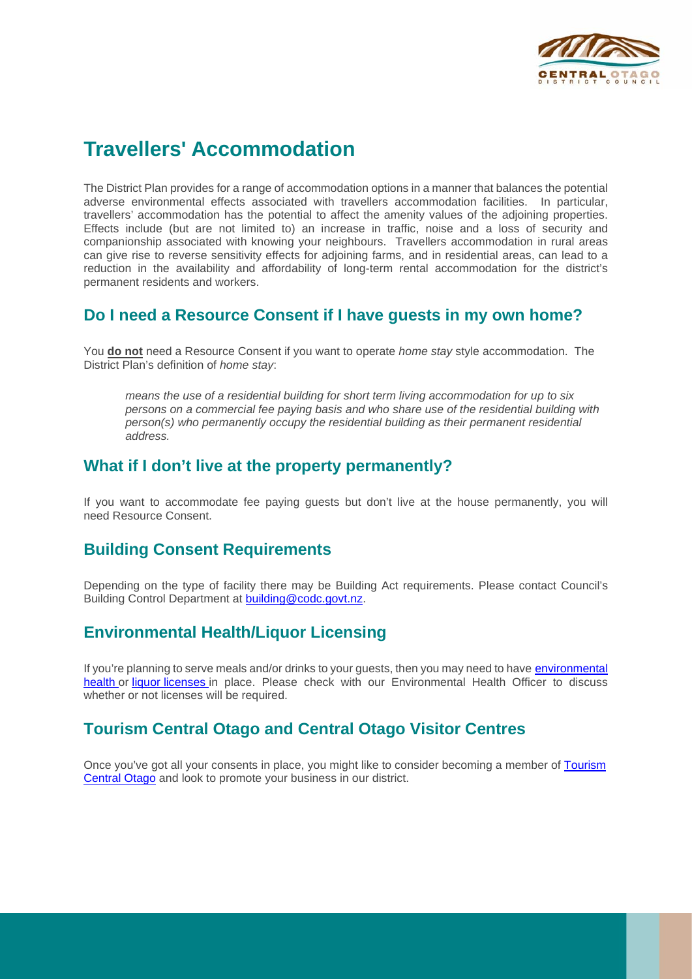

# **Travellers' Accommodation**

The District Plan provides for a range of accommodation options in a manner that balances the potential adverse environmental effects associated with travellers accommodation facilities. In particular, travellers' accommodation has the potential to affect the amenity values of the adjoining properties. Effects include (but are not limited to) an increase in traffic, noise and a loss of security and companionship associated with knowing your neighbours. Travellers accommodation in rural areas can give rise to reverse sensitivity effects for adjoining farms, and in residential areas, can lead to a reduction in the availability and affordability of long-term rental accommodation for the district's permanent residents and workers.

### **Do I need a Resource Consent if I have guests in my own home?**

You **do not** need a Resource Consent if you want to operate *home stay* style accommodation. The District Plan's definition of *home stay*:

*means the use of a residential building for short term living accommodation for up to six persons on a commercial fee paying basis and who share use of the residential building with person(s) who permanently occupy the residential building as their permanent residential address.*

### **What if I don't live at the property permanently?**

If you want to accommodate fee paying guests but don't live at the house permanently, you will need Resource Consent.

### **Building Consent Requirements**

Depending on the type of facility there may be Building Act requirements. Please contact Council's Building Control Department at [building@codc.govt.nz.](mailto:building@codc.govt.nz)

# **Environmental Health/Liquor Licensing**

If you're planning to serve meals and/or drinks to your guests, then you may need to have [environmental](https://www.codc.govt.nz/services/environmental-health)  [health](https://www.codc.govt.nz/services/environmental-health) or liquor [licenses](https://www.codc.govt.nz/services/alcohol-licensing) in place. Please check with our Environmental Health Officer to discuss whether or not licenses will be required.

# **Tourism Central Otago and Central Otago Visitor Centres**

Once you've got all your consents in place, you might like to consider becoming a member of [Tourism](https://www.codc.govt.nz/leisure-and-culture/tourism/tco-member)  [Central Otago](https://www.codc.govt.nz/leisure-and-culture/tourism/tco-member) and look to promote your business in our district.